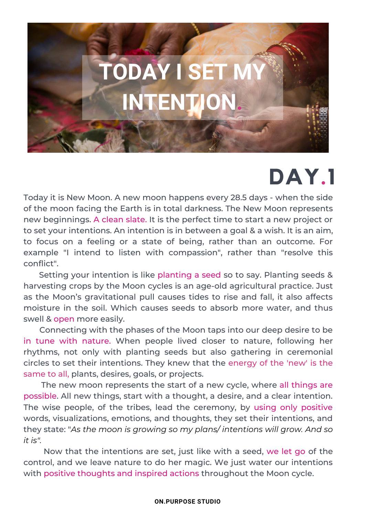

## **DAY.1**

Today it is New Moon. A new moon happens every 28.5 days - when the side of the moon facing the Earth is in total darkness. The New Moon represents new beginnings. A clean slate. It is the perfect time to start a new project or to set your intentions. An intention is in between a goal & a wish. It is an aim, to focus on a feeling or a state of being, rather than an outcome. For example "I intend to listen with compassion", rather than "resolve this conflict".

narvesting erops by the moon eyeres is an age ora agricational practice: sase Setting your intention is like planting a seed so to say. Planting seeds & harvesting crops by the Moon cycles is an age-old agricultural practice. Just moisture in the soil. Which causes seeds to absorb more water, and thus swell & open more easily.

Connecting with the phases of the Moon taps into our deep desire to be in tune with nature. When people lived closer to nature, following her rhythms, not only with planting seeds but also gathering in ceremonial circles to set their intentions. They knew that the energy of the 'new' is the same to all, plants, desires, goals, or projects.

The new moon represents the start of a new cycle, where all things are possible. All new things, start with a thought, a desire, and a clear intention. The wise people, of the tribes, lead the ceremony, by using only positive words, visualizations, emotions, and thoughts, they set their intentions, and they state: "*As the moon is growing so my plans/ intentions will grow. And so it is".*

Now that the intentions are set, just like with a seed, we let go of the control, and we leave nature to do her magic. We just water our intentions with positive thoughts and inspired actions throughout the Moon cycle.

## **ON.PURPOSE STUDIO**